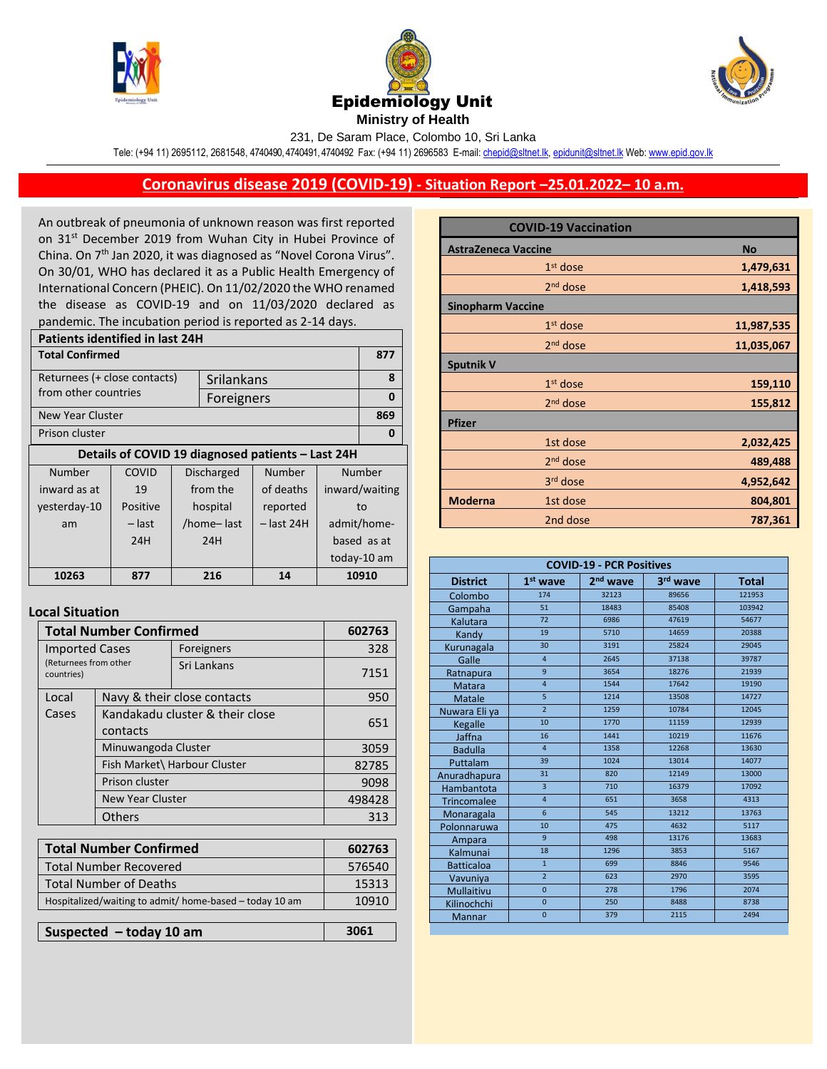





231, De Saram Place, Colombo 10, Sri Lanka

Tele: (+94 11) 2695112, 2681548, 4740490, 4740491, 4740492 Fax: (+94 11) 2696583 E-mail[: chepid@sltnet.lk,](mailto:chepi@sltnet.lk) [epidunit@sltnet.lk](mailto:epidunit@sltnet.lk) Web[: www.epid.gov.lk](http://www.epid.gov.lk/)

## **Coronavirus disease 2019 (COVID-19) - Situation Report –25.01.2022– 10 a.m.**

An outbreak of pneumonia of unknown reason was first reported on 31<sup>st</sup> December 2019 from Wuhan City in Hubei Province of China. On 7<sup>th</sup> Jan 2020, it was diagnosed as "Novel Corona Virus". On 30/01, WHO has declared it as a Public Health Emergency of International Concern (PHEIC). On 11/02/2020 the WHO renamed the disease as COVID-19 and on 11/03/2020 declared as pandemic. The incubation period is reported as 2-14 days.

| <b>Patients identified in last 24H</b>            |          |                      |            |             |             |                |
|---------------------------------------------------|----------|----------------------|------------|-------------|-------------|----------------|
| <b>Total Confirmed</b>                            |          |                      |            |             | 877         |                |
| Returnees (+ close contacts)<br>Srilankans        |          |                      |            |             | 8           |                |
| from other countries                              |          |                      | Foreigners |             |             | 0              |
| New Year Cluster                                  |          |                      |            |             | 869         |                |
| Prison cluster                                    |          |                      |            |             | 0           |                |
| Details of COVID 19 diagnosed patients - Last 24H |          |                      |            |             |             |                |
| Number                                            | COVID    | Discharged           |            | Number      | Number      |                |
| inward as at                                      | 19       | from the             |            | of deaths   |             | inward/waiting |
| yesterday-10                                      | Positive | hospital<br>reported |            | to          |             |                |
| am                                                | – last   | /home-last           |            | – last 24H  | admit/home- |                |
|                                                   | 24H      | 24H                  |            | based as at |             |                |
|                                                   |          |                      |            |             |             | today-10 am    |
| 10263                                             | 877      | 216                  |            | 14          | 10910       |                |
|                                                   |          |                      |            |             |             |                |

## **Local Situation**

| <b>Total Number Confirmed</b>                           | 602763                                      |                             |        |  |
|---------------------------------------------------------|---------------------------------------------|-----------------------------|--------|--|
| <b>Imported Cases</b>                                   |                                             | Foreigners                  | 328    |  |
| (Returnees from other<br>countries)                     |                                             | Sri Lankans                 | 7151   |  |
| Local                                                   |                                             | Navy & their close contacts | 950    |  |
| Cases                                                   | Kandakadu cluster & their close<br>contacts | 651                         |        |  |
|                                                         | Minuwangoda Cluster                         | 3059                        |        |  |
|                                                         | Fish Market\ Harbour Cluster                |                             | 82785  |  |
|                                                         | Prison cluster                              |                             | 9098   |  |
|                                                         | New Year Cluster                            |                             | 498428 |  |
|                                                         | <b>Others</b>                               |                             | 313    |  |
|                                                         |                                             |                             |        |  |
| <b>Total Number Confirmed</b>                           |                                             |                             | 602763 |  |
| <b>Total Number Recovered</b>                           |                                             |                             | 576540 |  |
| <b>Total Number of Deaths</b>                           |                                             |                             | 15313  |  |
| Hospitalized/waiting to admit/ home-based - today 10 am |                                             |                             | 10910  |  |
|                                                         |                                             |                             |        |  |
| Suspected $-$ today 10 am                               |                                             |                             | 3061   |  |

|                            | <b>COVID-19 Vaccination</b> |            |
|----------------------------|-----------------------------|------------|
| <b>AstraZeneca Vaccine</b> |                             | <b>No</b>  |
|                            | $1st$ dose                  | 1,479,631  |
|                            | $2nd$ dose                  | 1,418,593  |
| <b>Sinopharm Vaccine</b>   |                             |            |
|                            | $1st$ dose                  | 11,987,535 |
|                            | $2nd$ dose                  | 11,035,067 |
| <b>Sputnik V</b>           |                             |            |
|                            | $1st$ dose                  | 159,110    |
|                            | 2 <sup>nd</sup> dose        | 155,812    |
| <b>Pfizer</b>              |                             |            |
|                            | 1st dose                    | 2,032,425  |
|                            | 2 <sup>nd</sup> dose        | 489,488    |
|                            | 3 <sup>rd</sup> dose        | 4,952,642  |
| <b>Moderna</b>             | 1st dose                    | 804,801    |
|                            | 2nd dose                    | 787,361    |

| <b>COVID-19 - PCR Positives</b> |                |                      |          |              |
|---------------------------------|----------------|----------------------|----------|--------------|
| <b>District</b>                 | $1st$ wave     | 2 <sup>nd</sup> wave | 3rd wave | <b>Total</b> |
| Colombo                         | 174            | 32123                | 89656    | 121953       |
| Gampaha                         | 51             | 18483                | 85408    | 103942       |
| Kalutara                        | 72             | 6986                 | 47619    | 54677        |
| Kandy                           | 19             | 5710                 | 14659    | 20388        |
| Kurunagala                      | 30             | 3191                 | 25824    | 29045        |
| Galle                           | $\overline{4}$ | 2645                 | 37138    | 39787        |
| Ratnapura                       | 9              | 3654                 | 18276    | 21939        |
| <b>Matara</b>                   | $\overline{4}$ | 1544                 | 17642    | 19190        |
| Matale                          | 5              | 1214                 | 13508    | 14727        |
| Nuwara Eli ya                   | $\overline{2}$ | 1259                 | 10784    | 12045        |
| Kegalle                         | 10             | 1770                 | 11159    | 12939        |
| Jaffna                          | 16             | 1441                 | 10219    | 11676        |
| <b>Badulla</b>                  | $\overline{4}$ | 1358                 | 12268    | 13630        |
| Puttalam                        | 39             | 1024                 | 13014    | 14077        |
| Anuradhapura                    | 31             | 820                  | 12149    | 13000        |
| Hambantota                      | $\overline{3}$ | 710                  | 16379    | 17092        |
| <b>Trincomalee</b>              | $\overline{4}$ | 651                  | 3658     | 4313         |
| Monaragala                      | 6              | 545                  | 13212    | 13763        |
| Polonnaruwa                     | 10             | 475                  | 4632     | 5117         |
| Ampara                          | $\overline{9}$ | 498                  | 13176    | 13683        |
| Kalmunai                        | 18             | 1296                 | 3853     | 5167         |
| <b>Batticaloa</b>               | $\overline{1}$ | 699                  | 8846     | 9546         |
| Vavuniya                        | $\overline{2}$ | 623                  | 2970     | 3595         |
| Mullaitivu                      | $\overline{0}$ | 278                  | 1796     | 2074         |
| Kilinochchi                     | $\mathbf{0}$   | 250                  | 8488     | 8738         |
| Mannar                          | $\overline{0}$ | 379                  | 2115     | 2494         |